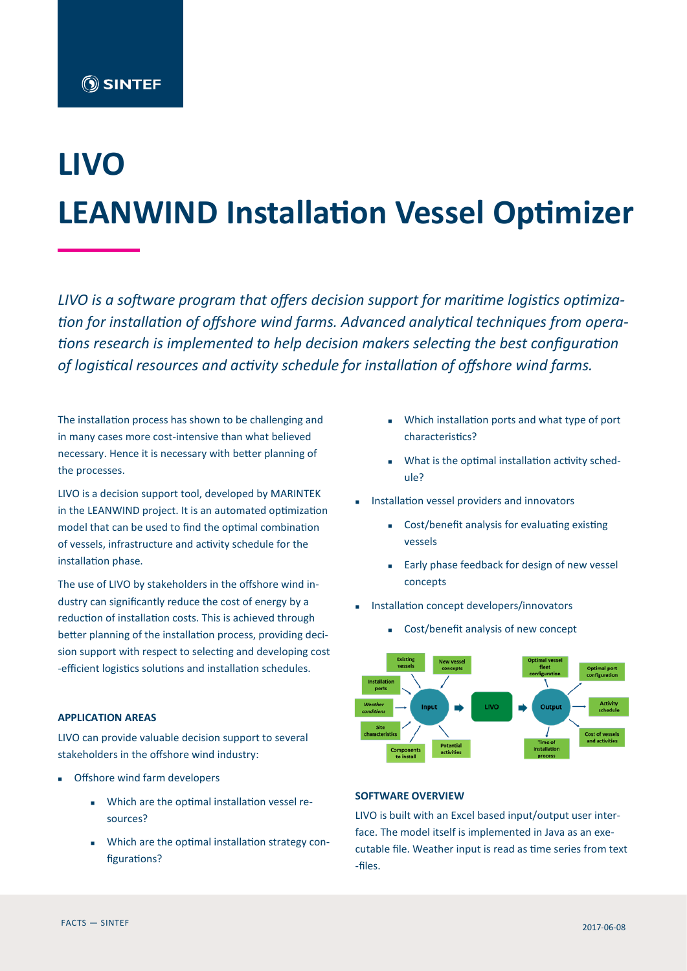# **LIVO LEANWIND Installation Vessel Optimizer**

*LIVO is a software program that offers decision support for maritime logistics optimization for installation of offshore wind farms. Advanced analytical techniques from operations research is implemented to help decision makers selecting the best configuration of logistical resources and activity schedule for installation of offshore wind farms.* 

The installation process has shown to be challenging and in many cases more cost-intensive than what believed necessary. Hence it is necessary with better planning of the processes.

LIVO is a decision support tool, developed by MARINTEK in the LEANWIND project. It is an automated optimization model that can be used to find the optimal combination of vessels, infrastructure and activity schedule for the installation phase.

The use of LIVO by stakeholders in the offshore wind industry can significantly reduce the cost of energy by a reduction of installation costs. This is achieved through better planning of the installation process, providing decision support with respect to selecting and developing cost -efficient logistics solutions and installation schedules.

## **APPLICATION AREAS**

LIVO can provide valuable decision support to several stakeholders in the offshore wind industry:

- **Offshore wind farm developers** 
	- Which are the optimal installation vessel resources?
	- Which are the optimal installation strategy configurations?
- Which installation ports and what type of port characteristics?
- What is the optimal installation activity schedule?
- Installation vessel providers and innovators
	- Cost/benefit analysis for evaluating existing vessels
	- **Early phase feedback for design of new vessel** concepts
- Installation concept developers/innovators
	- Cost/benefit analysis of new concept



#### **SOFTWARE OVERVIEW**

LIVO is built with an Excel based input/output user interface. The model itself is implemented in Java as an executable file. Weather input is read as time series from text -files.